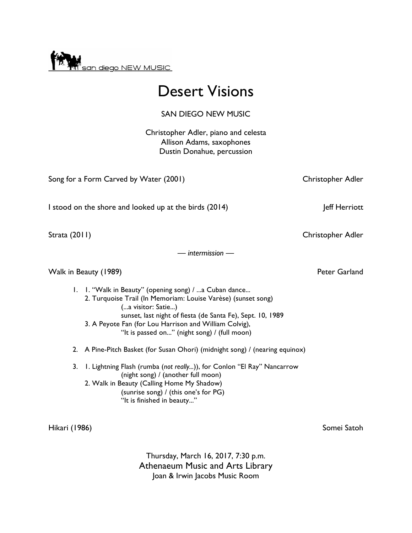

# Desert Visions

## SAN DIEGO NEW MUSIC

Christopher Adler, piano and celesta Allison Adams, saxophones Dustin Donahue, percussion

Song for a Form Carved by Water (2001) Christopher Adler

I stood on the shore and looked up at the birds (2014) Jeff Herriott

— *intermission* —

## Walk in Beauty (1989) **Peter Garland**

- 1. 1. "Walk in Beauty" (opening song) / ...a Cuban dance... 2. Turquoise Trail (In Memoriam: Louise Varèse) (sunset song) (...a visitor: Satie...) sunset, last night of fiesta (de Santa Fe), Sept. 10, 1989 3. A Peyote Fan (for Lou Harrison and William Colvig),
	- "It is passed on..." (night song) / (full moon)
- 2. A Pine-Pitch Basket (for Susan Ohori) (midnight song) / (nearing equinox)
- 3. 1. Lightning Flash (rumba (*not really...*)), for Conlon "El Ray" Nancarrow (night song) / (another full moon) 2. Walk in Beauty (Calling Home My Shadow) (sunrise song) / (this one's for PG) "It is finished in beauty..."

Hikari (1986) Somei Satoh

Thursday, March 16, 2017, 7:30 p.m. Athenaeum Music and Arts Library Joan & Irwin Jacobs Music Room

Strata (2011) Christopher Adler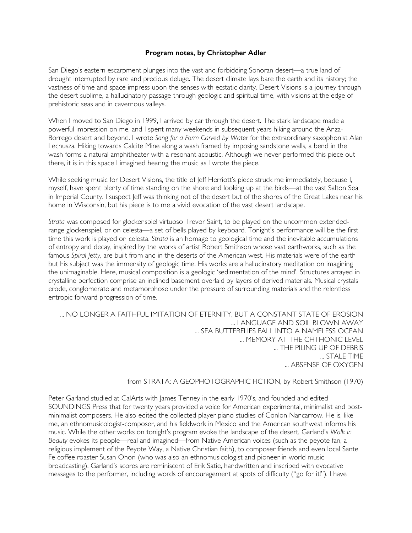### **Program notes, by Christopher Adler**

San Diego's eastern escarpment plunges into the vast and forbidding Sonoran desert—a true land of drought interrupted by rare and precious deluge. The desert climate lays bare the earth and its history; the vastness of time and space impress upon the senses with ecstatic clarity. Desert Visions is a journey through the desert sublime, a hallucinatory passage through geologic and spiritual time, with visions at the edge of prehistoric seas and in cavernous valleys.

When I moved to San Diego in 1999, I arrived by car through the desert. The stark landscape made a powerful impression on me, and I spent many weekends in subsequent years hiking around the Anza-Borrego desert and beyond. I wrote *Song for a Form Carved by Water* for the extraordinary saxophonist Alan Lechusza. Hiking towards Calcite Mine along a wash framed by imposing sandstone walls, a bend in the wash forms a natural amphitheater with a resonant acoustic. Although we never performed this piece out there, it is in this space I imagined hearing the music as I wrote the piece.

While seeking music for Desert Visions, the title of Jeff Herriott's piece struck me immediately, because I, myself, have spent plenty of time standing on the shore and looking up at the birds—at the vast Salton Sea in Imperial County. I suspect Jeff was thinking not of the desert but of the shores of the Great Lakes near his home in Wisconsin, but his piece is to me a vivid evocation of the vast desert landscape.

*Strata* was composed for glockenspiel virtuoso Trevor Saint, to be played on the uncommon extendedrange glockenspiel, or on celesta—a set of bells played by keyboard. Tonight's performance will be the first time this work is played on celesta. *Strata* is an homage to geological time and the inevitable accumulations of entropy and decay, inspired by the works of artist Robert Smithson whose vast earthworks, such as the famous *Spiral Jetty*, are built from and in the deserts of the American west. His materials were of the earth but his subject was the immensity of geologic time. His works are a hallucinatory meditation on imagining the unimaginable. Here, musical composition is a geologic 'sedimentation of the mind'. Structures arrayed in crystalline perfection comprise an inclined basement overlaid by layers of derived materials. Musical crystals erode, conglomerate and metamorphose under the pressure of surrounding materials and the relentless entropic forward progression of time.

... NO LONGER A FAITHFUL IMITATION OF ETERNITY, BUT A CONSTANT STATE OF EROSION ... LANGUAGE AND SOIL BLOWN AWAY ... SEA BUTTERFLIES FALL INTO A NAMELESS OCEAN ... MEMORY AT THE CHTHONIC LEVEL ... THE PILING UP OF DEBRIS ... STALE TIME ... ABSENSE OF OXYGEN

#### from STRATA: A GEOPHOTOGRAPHIC FICTION, by Robert Smithson (1970)

Peter Garland studied at CalArts with James Tenney in the early 1970's, and founded and edited SOUNDINGS Press that for twenty years provided a voice for American experimental, minimalist and postminimalist composers. He also edited the collected player piano studies of Conlon Nancarrow. He is, like me, an ethnomusicologist-composer, and his fieldwork in Mexico and the American southwest informs his music. While the other works on tonight's program evoke the landscape of the desert, Garland's *Walk in Beauty* evokes its people—real and imagined—from Native American voices (such as the peyote fan, a religious implement of the Peyote Way, a Native Christian faith), to composer friends and even local Sante Fe coffee roaster Susan Ohori (who was also an ethnomusicologist and pioneer in world music broadcasting). Garland's scores are reminiscent of Erik Satie, handwritten and inscribed with evocative messages to the performer, including words of encouragement at spots of difficulty ("go for it!"). I have